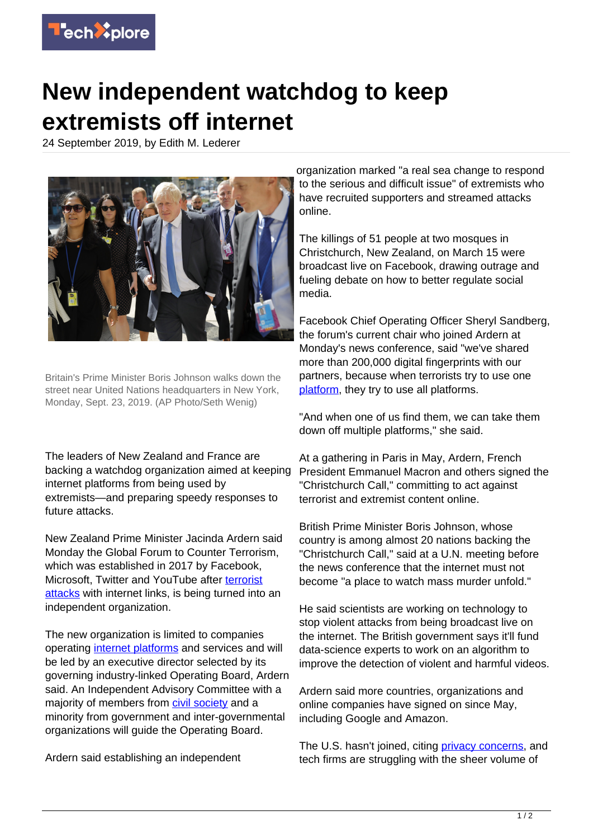

## **New independent watchdog to keep extremists off internet**

24 September 2019, by Edith M. Lederer



Britain's Prime Minister Boris Johnson walks down the street near United Nations headquarters in New York, Monday, Sept. 23, 2019. (AP Photo/Seth Wenig)

The leaders of New Zealand and France are backing a watchdog organization aimed at keeping internet platforms from being used by extremists—and preparing speedy responses to future attacks.

New Zealand Prime Minister Jacinda Ardern said Monday the Global Forum to Counter Terrorism, which was established in 2017 by Facebook, Microsoft, Twitter and YouTube after [terrorist](https://techxplore.com/tags/terrorist+attacks/) [attacks](https://techxplore.com/tags/terrorist+attacks/) with internet links, is being turned into an independent organization.

The new organization is limited to companies operating [internet platforms](https://techxplore.com/tags/internet+platforms/) and services and will be led by an executive director selected by its governing industry-linked Operating Board, Ardern said. An Independent Advisory Committee with a majority of members from [civil society](https://techxplore.com/tags/civil+society/) and a minority from government and inter-governmental organizations will guide the Operating Board.

Ardern said establishing an independent

organization marked "a real sea change to respond to the serious and difficult issue" of extremists who have recruited supporters and streamed attacks online.

The killings of 51 people at two mosques in Christchurch, New Zealand, on March 15 were broadcast live on Facebook, drawing outrage and fueling debate on how to better regulate social media.

Facebook Chief Operating Officer Sheryl Sandberg, the forum's current chair who joined Ardern at Monday's news conference, said "we've shared more than 200,000 digital fingerprints with our partners, because when terrorists try to use one [platform](https://techxplore.com/tags/platform/), they try to use all platforms.

"And when one of us find them, we can take them down off multiple platforms," she said.

At a gathering in Paris in May, Ardern, French President Emmanuel Macron and others signed the "Christchurch Call," committing to act against terrorist and extremist content online.

British Prime Minister Boris Johnson, whose country is among almost 20 nations backing the "Christchurch Call," said at a U.N. meeting before the news conference that the internet must not become "a place to watch mass murder unfold."

He said scientists are working on technology to stop violent attacks from being broadcast live on the internet. The British government says it'll fund data-science experts to work on an algorithm to improve the detection of violent and harmful videos.

Ardern said more countries, organizations and online companies have signed on since May, including Google and Amazon.

The U.S. hasn't joined, citing *privacy concerns*, and tech firms are struggling with the sheer volume of